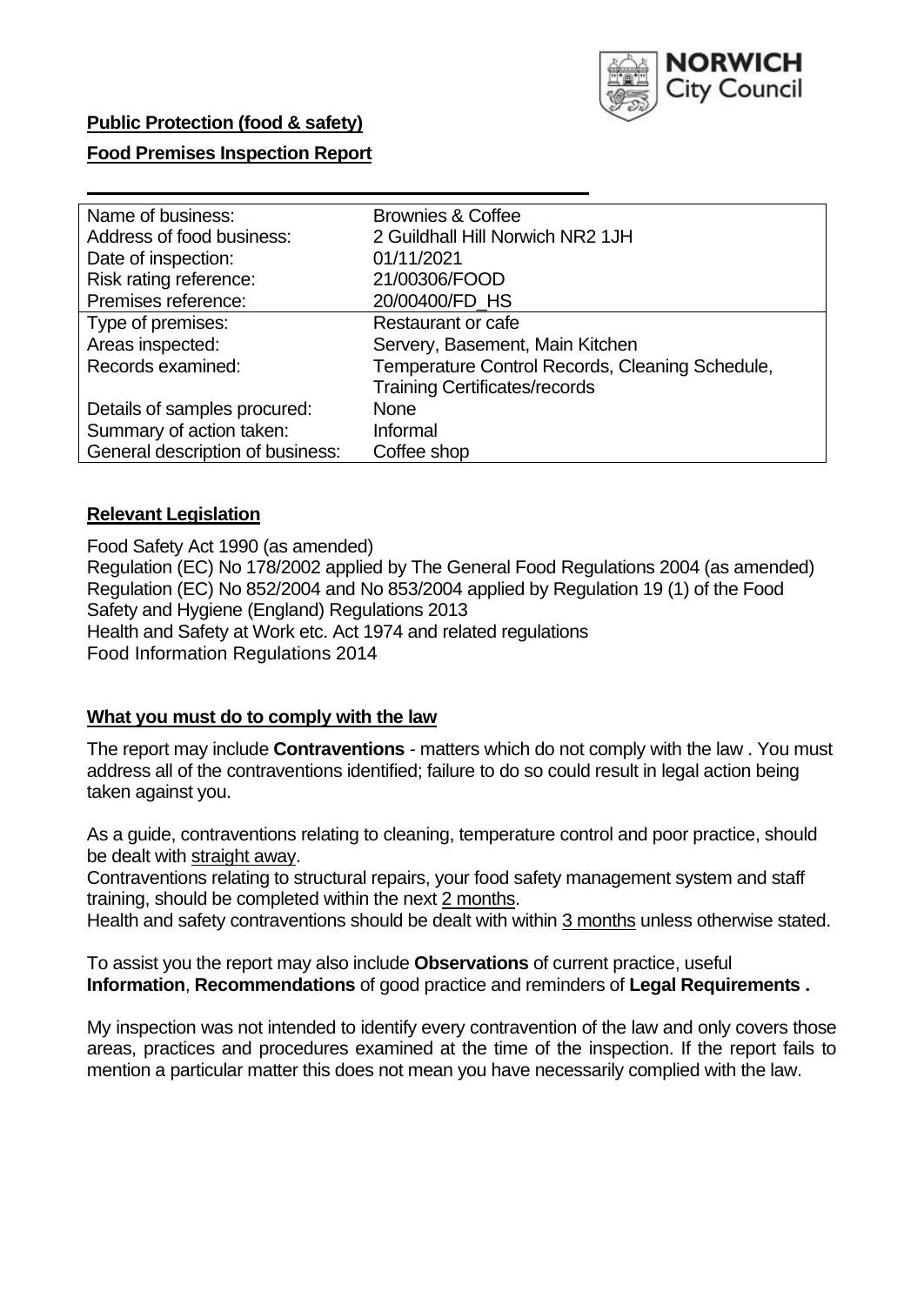

# **Public Protection (food & safety)**

# **Food Premises Inspection Report**

| Name of business:                | <b>Brownies &amp; Coffee</b>                    |
|----------------------------------|-------------------------------------------------|
| Address of food business:        | 2 Guildhall Hill Norwich NR2 1JH                |
| Date of inspection:              | 01/11/2021                                      |
| Risk rating reference:           | 21/00306/FOOD                                   |
| Premises reference:              | 20/00400/FD HS                                  |
| Type of premises:                | <b>Restaurant or cafe</b>                       |
| Areas inspected:                 | Servery, Basement, Main Kitchen                 |
| Records examined:                | Temperature Control Records, Cleaning Schedule, |
|                                  | <b>Training Certificates/records</b>            |
| Details of samples procured:     | None                                            |
| Summary of action taken:         | Informal                                        |
| General description of business: | Coffee shop                                     |

## **Relevant Legislation**

 Food Safety Act 1990 (as amended) Regulation (EC) No 178/2002 applied by The General Food Regulations 2004 (as amended) Regulation (EC) No 852/2004 and No 853/2004 applied by Regulation 19 (1) of the Food Safety and Hygiene (England) Regulations 2013 Health and Safety at Work etc. Act 1974 and related regulations Food Information Regulations 2014

# **What you must do to comply with the law**

 The report may include **Contraventions** - matters which do not comply with the law . You must address all of the contraventions identified; failure to do so could result in legal action being taken against you.

 As a guide, contraventions relating to cleaning, temperature control and poor practice, should be dealt with straight away.

 Contraventions relating to structural repairs, your food safety management system and staff training, should be completed within the next 2 months.

Health and safety contraventions should be dealt with within 3 months unless otherwise stated.

 To assist you the report may also include **Observations** of current practice, useful **Information**, **Recommendations** of good practice and reminders of **Legal Requirements .** 

 My inspection was not intended to identify every contravention of the law and only covers those areas, practices and procedures examined at the time of the inspection. If the report fails to mention a particular matter this does not mean you have necessarily complied with the law.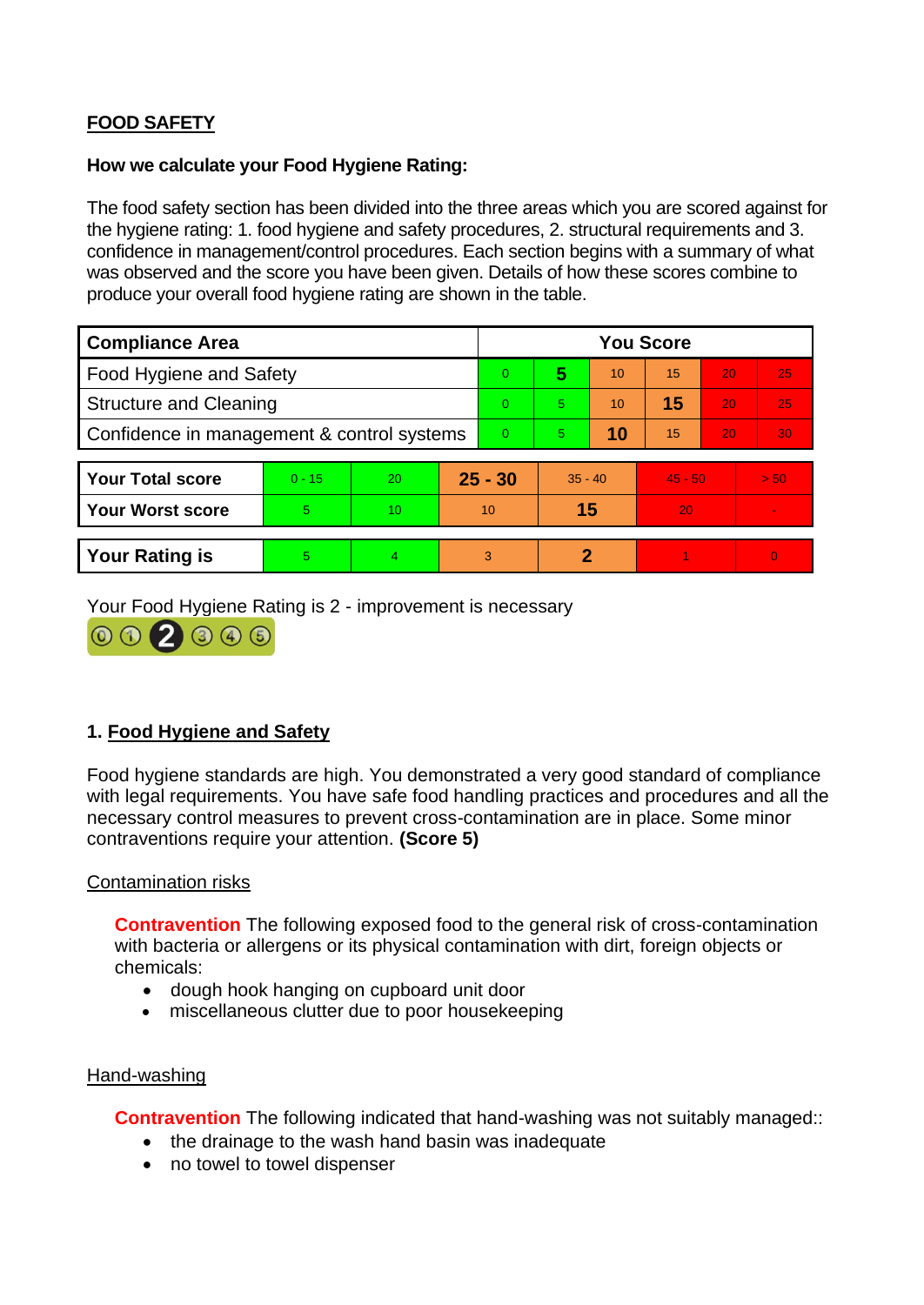# **FOOD SAFETY**

## **How we calculate your Food Hygiene Rating:**

 The food safety section has been divided into the three areas which you are scored against for the hygiene rating: 1. food hygiene and safety procedures, 2. structural requirements and 3. confidence in management/control procedures. Each section begins with a summary of what was observed and the score you have been given. Details of how these scores combine to produce your overall food hygiene rating are shown in the table.

| <b>Compliance Area</b>                     |          |                  |           | <b>You Score</b> |           |    |           |    |                |  |  |
|--------------------------------------------|----------|------------------|-----------|------------------|-----------|----|-----------|----|----------------|--|--|
| Food Hygiene and Safety                    |          |                  |           | 0                | 5         | 10 | 15        | 20 | 25             |  |  |
| <b>Structure and Cleaning</b>              |          |                  | $\Omega$  | 5                | 10        | 15 | 20        | 25 |                |  |  |
| Confidence in management & control systems |          |                  | $\Omega$  | $\overline{5}$   | 10        | 15 | 20        | 30 |                |  |  |
|                                            |          |                  |           |                  |           |    |           |    |                |  |  |
| <b>Your Total score</b>                    | $0 - 15$ | 20               | $25 - 30$ |                  | $35 - 40$ |    | $45 - 50$ |    | > 50           |  |  |
| <b>Your Worst score</b>                    | 5.       | 10 <sup>10</sup> | 10        |                  | 15        |    | 20        |    | $\blacksquare$ |  |  |
|                                            |          |                  |           |                  |           |    |           |    |                |  |  |
| <b>Your Rating is</b>                      | 5        | $\overline{4}$   |           | 3                | 2         |    |           |    | $\overline{0}$ |  |  |

Your Food Hygiene Rating is 2 - improvement is necessary



# **1. Food Hygiene and Safety**

 with legal requirements. You have safe food handling practices and procedures and all the Food hygiene standards are high. You demonstrated a very good standard of compliance necessary control measures to prevent cross-contamination are in place. Some minor contraventions require your attention. **(Score 5)** 

# Contamination risks

 **Contravention** The following exposed food to the general risk of cross-contamination with bacteria or allergens or its physical contamination with dirt, foreign objects or chemicals:

- dough hook hanging on cupboard unit door
- miscellaneous clutter due to poor housekeeping

### Hand-washing

**Contravention** The following indicated that hand-washing was not suitably managed::

- the drainage to the wash hand basin was inadequate
- no towel to towel dispenser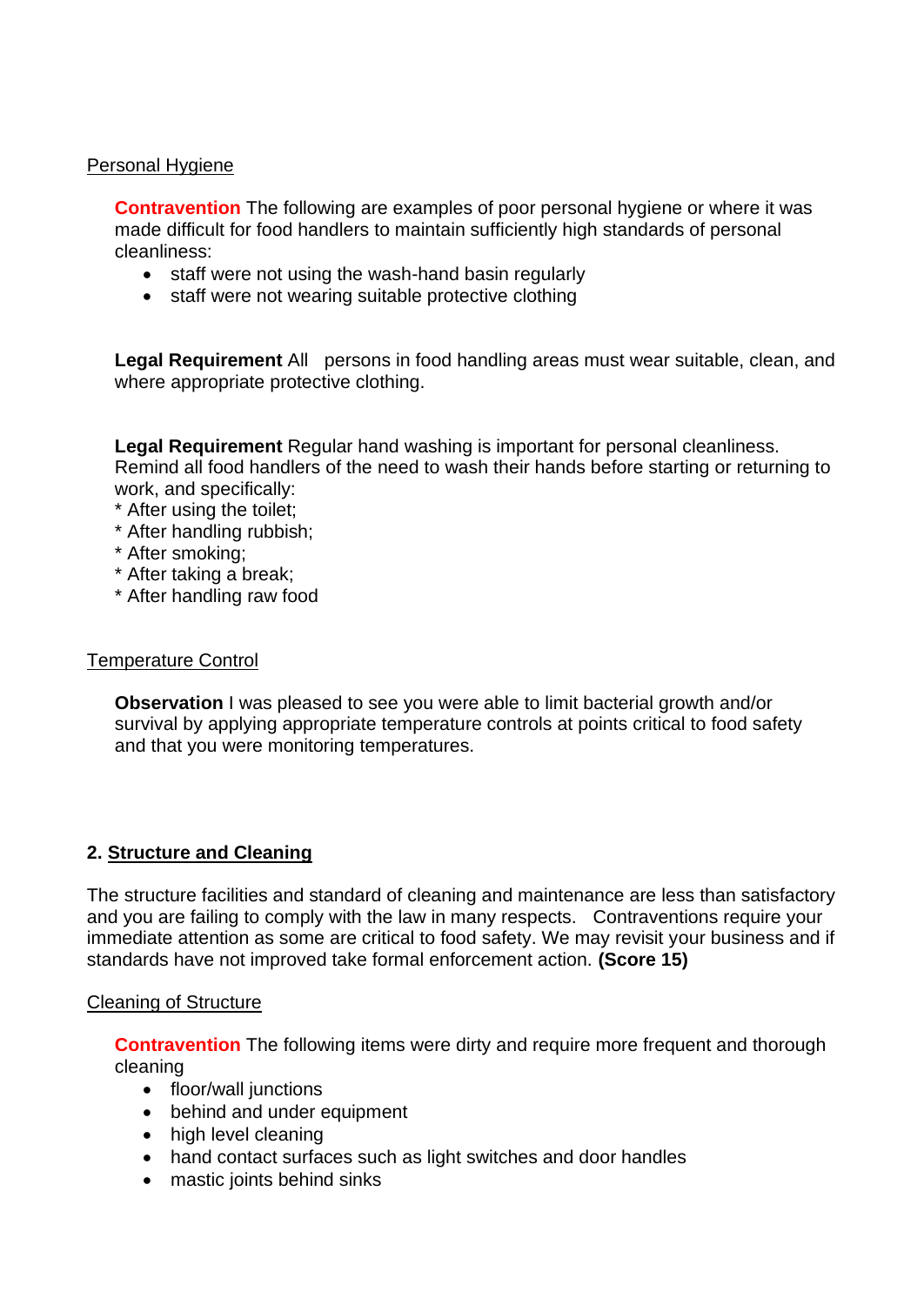## Personal Hygiene

 made difficult for food handlers to maintain sufficiently high standards of personal **Contravention** The following are examples of poor personal hygiene or where it was cleanliness:

- staff were not using the wash-hand basin regularly
- staff were not wearing suitable protective clothing

 **Legal Requirement** All persons in food handling areas must wear suitable, clean, and where appropriate protective clothing.

**Legal Requirement** Regular hand washing is important for personal cleanliness. Remind all food handlers of the need to wash their hands before starting or returning to work, and specifically:

- \* After using the toilet;
- \* After handling rubbish;
- \* After smoking;
- \* After taking a break;
- \* After handling raw food

## Temperature Control

**Observation I** was pleased to see you were able to limit bacterial growth and/or survival by applying appropriate temperature controls at points critical to food safety and that you were monitoring temperatures.

# **2. Structure and Cleaning**

 and you are failing to comply with the law in many respects. Contraventions require your The structure facilities and standard of cleaning and maintenance are less than satisfactory immediate attention as some are critical to food safety. We may revisit your business and if standards have not improved take formal enforcement action. **(Score 15)** 

# Cleaning of Structure

**Contravention** The following items were dirty and require more frequent and thorough cleaning

- floor/wall junctions
- behind and under equipment
- high level cleaning
- hand contact surfaces such as light switches and door handles
- mastic joints behind sinks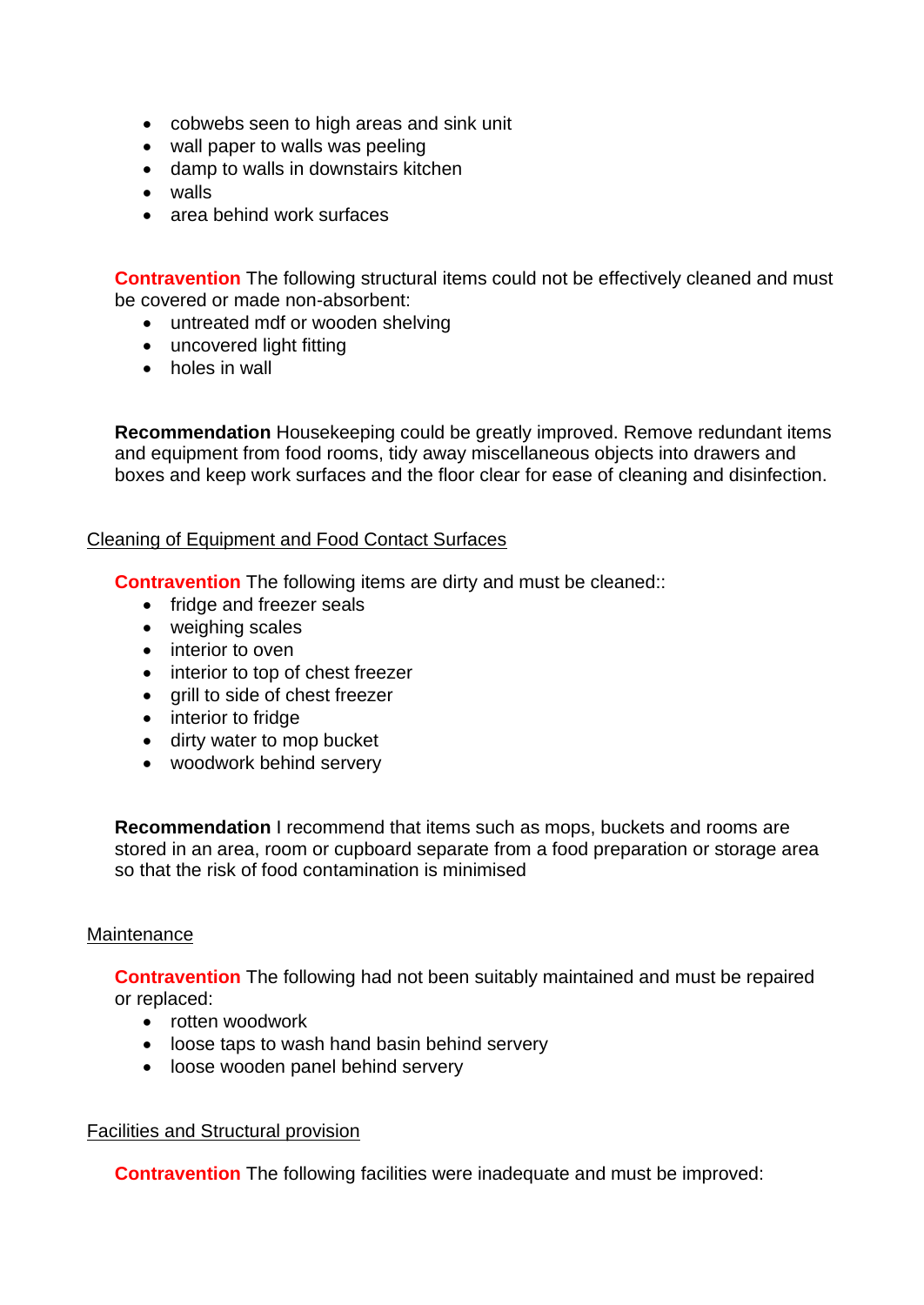- cobwebs seen to high areas and sink unit
- wall paper to walls was peeling
- damp to walls in downstairs kitchen
- walls
- area behind work surfaces

**Contravention** The following structural items could not be effectively cleaned and must be covered or made non-absorbent:

- untreated mdf or wooden shelving
- uncovered light fitting
- holes in wall

**Recommendation** Housekeeping could be greatly improved. Remove redundant items and equipment from food rooms, tidy away miscellaneous objects into drawers and boxes and keep work surfaces and the floor clear for ease of cleaning and disinfection.

## Cleaning of Equipment and Food Contact Surfaces

**Contravention** The following items are dirty and must be cleaned::

- fridge and freezer seals
- weighing scales
- interior to oven
- interior to top of chest freezer
- grill to side of chest freezer
- interior to fridge
- dirty water to mop bucket
- woodwork behind servery

**Recommendation** I recommend that items such as mops, buckets and rooms are stored in an area, room or cupboard separate from a food preparation or storage area so that the risk of food contamination is minimised

### Maintenance

**Contravention** The following had not been suitably maintained and must be repaired or replaced:

- rotten woodwork
- loose taps to wash hand basin behind servery
- loose wooden panel behind servery

### Facilities and Structural provision

**Contravention** The following facilities were inadequate and must be improved: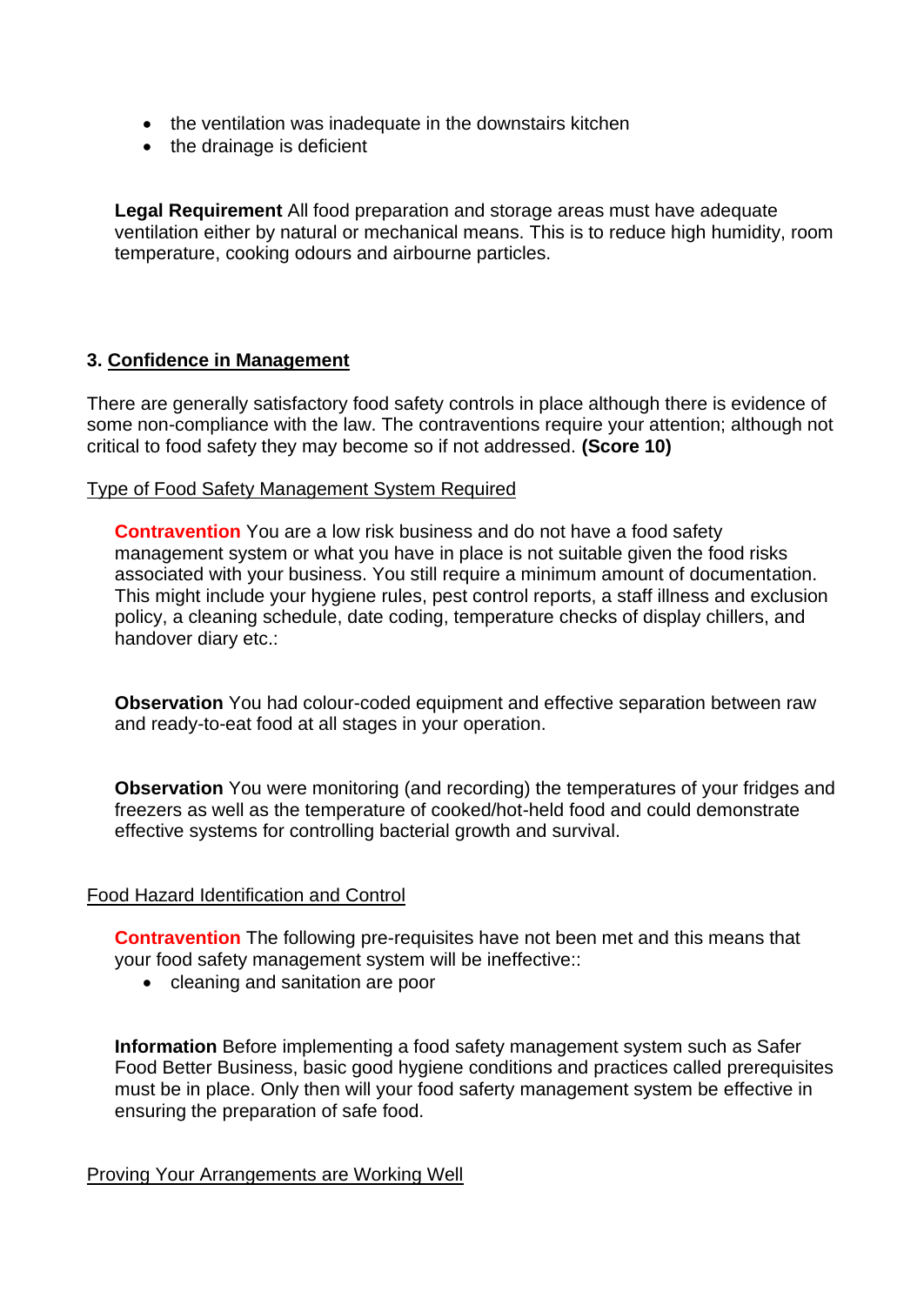- the ventilation was inadequate in the downstairs kitchen
- the drainage is deficient

 ventilation either by natural or mechanical means. This is to reduce high humidity, room **Legal Requirement** All food preparation and storage areas must have adequate temperature, cooking odours and airbourne particles.

# **3. Confidence in Management**

 There are generally satisfactory food safety controls in place although there is evidence of some non-compliance with the law. The contraventions require your attention; although not critical to food safety they may become so if not addressed. **(Score 10)** 

# Type of Food Safety Management System Required

 **Contravention** You are a low risk business and do not have a food safety This might include your hygiene rules, pest control reports, a staff illness and exclusion management system or what you have in place is not suitable given the food risks associated with your business. You still require a minimum amount of documentation. policy, a cleaning schedule, date coding, temperature checks of display chillers, and handover diary etc.:

**Observation** You had colour-coded equipment and effective separation between raw and ready-to-eat food at all stages in your operation.

**Observation** You were monitoring (and recording) the temperatures of your fridges and freezers as well as the temperature of cooked/hot-held food and could demonstrate effective systems for controlling bacterial growth and survival.

# Food Hazard Identification and Control

**Contravention** The following pre-requisites have not been met and this means that your food safety management system will be ineffective::

• cleaning and sanitation are poor

**Information** Before implementing a food safety management system such as Safer Food Better Business, basic good hygiene conditions and practices called prerequisites must be in place. Only then will your food saferty management system be effective in ensuring the preparation of safe food.

Proving Your Arrangements are Working Well